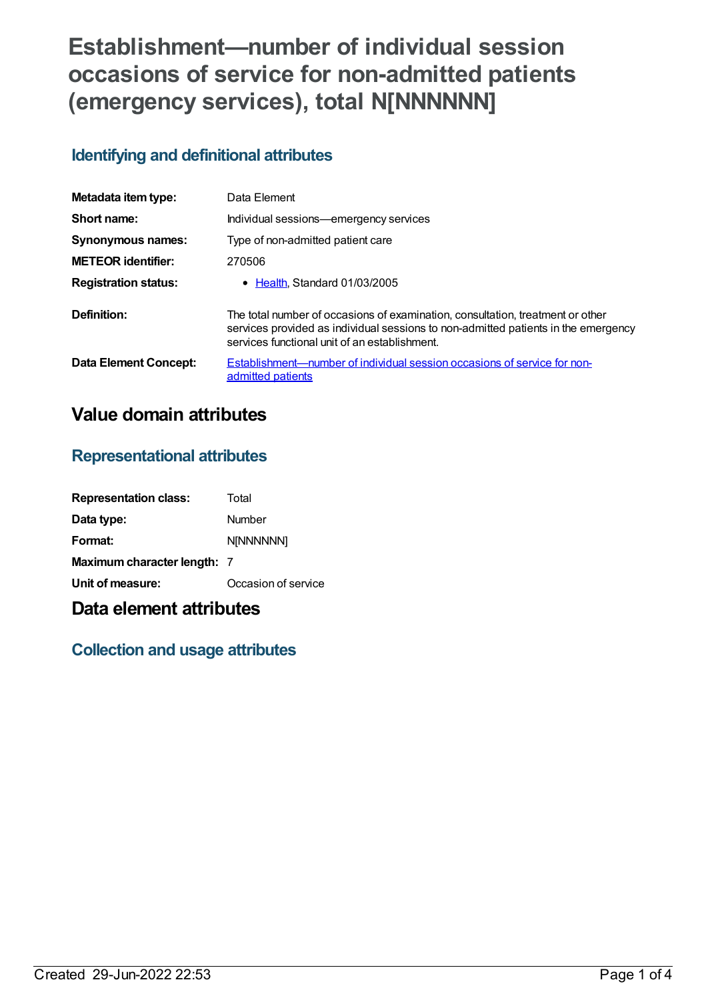# **Establishment—number of individual session occasions of service for non-admitted patients (emergency services), total N[NNNNNN]**

## **Identifying and definitional attributes**

| Metadata item type:         | Data Element                                                                                                                                                                                                          |
|-----------------------------|-----------------------------------------------------------------------------------------------------------------------------------------------------------------------------------------------------------------------|
| Short name:                 | Individual sessions-emergency services                                                                                                                                                                                |
| Synonymous names:           | Type of non-admitted patient care                                                                                                                                                                                     |
| <b>METEOR identifier:</b>   | 270506                                                                                                                                                                                                                |
| <b>Registration status:</b> | $\bullet$ Health Standard 01/03/2005                                                                                                                                                                                  |
| Definition:                 | The total number of occasions of examination, consultation, treatment or other<br>services provided as individual sessions to non-admitted patients in the emergency<br>services functional unit of an establishment. |
| Data Element Concept:       | Establishment—number of individual session occasions of service for non-<br>admitted patients                                                                                                                         |

# **Value domain attributes**

#### **Representational attributes**

| <b>Representation class:</b> | Total               |
|------------------------------|---------------------|
| Data type:                   | Number              |
| Format:                      | <b>N[NNNNNN]</b>    |
| Maximum character length: 7  |                     |
| Unit of measure:             | Occasion of service |

## **Data element attributes**

### **Collection and usage attributes**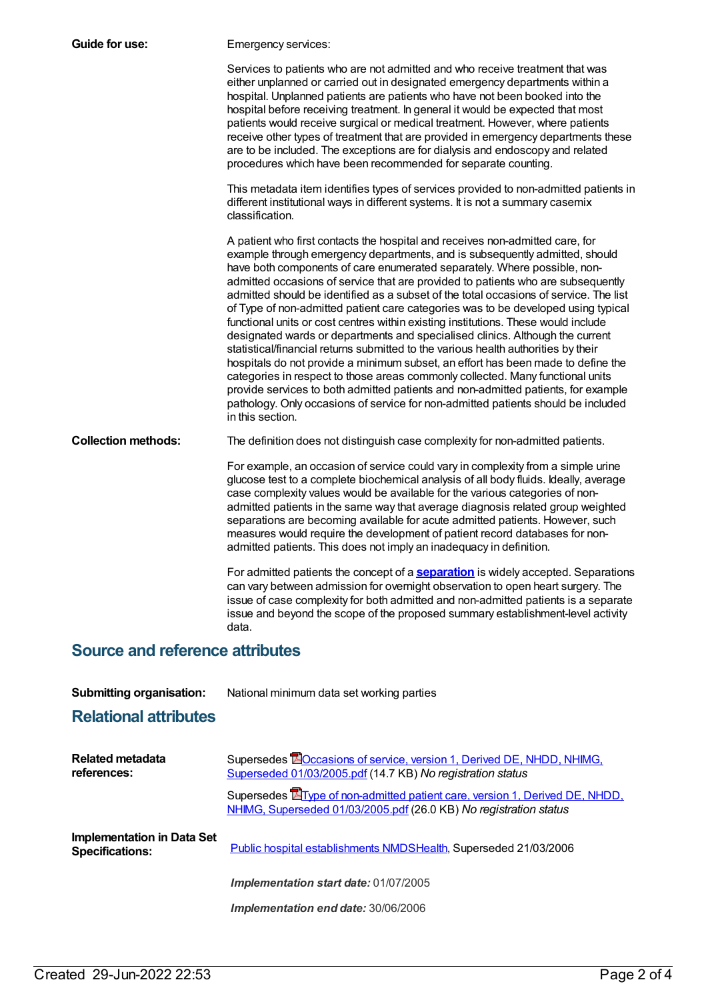| Guide for use:                         | Emergency services:                                                                                                                                                                                                                                                                                                                                                                                                                                                                                                                                                                                                                                                                                                                                                                                                                                                                                                                                                                                                                                                                                                                         |  |
|----------------------------------------|---------------------------------------------------------------------------------------------------------------------------------------------------------------------------------------------------------------------------------------------------------------------------------------------------------------------------------------------------------------------------------------------------------------------------------------------------------------------------------------------------------------------------------------------------------------------------------------------------------------------------------------------------------------------------------------------------------------------------------------------------------------------------------------------------------------------------------------------------------------------------------------------------------------------------------------------------------------------------------------------------------------------------------------------------------------------------------------------------------------------------------------------|--|
|                                        | Services to patients who are not admitted and who receive treatment that was<br>either unplanned or carried out in designated emergency departments within a<br>hospital. Unplanned patients are patients who have not been booked into the<br>hospital before receiving treatment. In general it would be expected that most<br>patients would receive surgical or medical treatment. However, where patients<br>receive other types of treatment that are provided in emergency departments these<br>are to be included. The exceptions are for dialysis and endoscopy and related<br>procedures which have been recommended for separate counting.                                                                                                                                                                                                                                                                                                                                                                                                                                                                                       |  |
|                                        | This metadata item identifies types of services provided to non-admitted patients in<br>different institutional ways in different systems. It is not a summary casemix<br>classification.                                                                                                                                                                                                                                                                                                                                                                                                                                                                                                                                                                                                                                                                                                                                                                                                                                                                                                                                                   |  |
|                                        | A patient who first contacts the hospital and receives non-admitted care, for<br>example through emergency departments, and is subsequently admitted, should<br>have both components of care enumerated separately. Where possible, non-<br>admitted occasions of service that are provided to patients who are subsequently<br>admitted should be identified as a subset of the total occasions of service. The list<br>of Type of non-admitted patient care categories was to be developed using typical<br>functional units or cost centres within existing institutions. These would include<br>designated wards or departments and specialised clinics. Although the current<br>statistical/financial returns submitted to the various health authorities by their<br>hospitals do not provide a minimum subset, an effort has been made to define the<br>categories in respect to those areas commonly collected. Many functional units<br>provide services to both admitted patients and non-admitted patients, for example<br>pathology. Only occasions of service for non-admitted patients should be included<br>in this section. |  |
| <b>Collection methods:</b>             | The definition does not distinguish case complexity for non-admitted patients.                                                                                                                                                                                                                                                                                                                                                                                                                                                                                                                                                                                                                                                                                                                                                                                                                                                                                                                                                                                                                                                              |  |
|                                        | For example, an occasion of service could vary in complexity from a simple urine<br>glucose test to a complete biochemical analysis of all body fluids. Ideally, average<br>case complexity values would be available for the various categories of non-<br>admitted patients in the same way that average diagnosis related group weighted<br>separations are becoming available for acute admitted patients. However, such<br>measures would require the development of patient record databases for non-<br>admitted patients. This does not imply an inadequacy in definition.                                                                                                                                                                                                                                                                                                                                                                                                                                                                                                                                                          |  |
|                                        | For admitted patients the concept of a <b>separation</b> is widely accepted. Separations<br>can vary between admission for overnight observation to open heart surgery. The<br>issue of case complexity for both admitted and non-admitted patients is a separate<br>issue and beyond the scope of the proposed summary establishment-level activity<br>data.                                                                                                                                                                                                                                                                                                                                                                                                                                                                                                                                                                                                                                                                                                                                                                               |  |
| <b>Source and reference attributes</b> |                                                                                                                                                                                                                                                                                                                                                                                                                                                                                                                                                                                                                                                                                                                                                                                                                                                                                                                                                                                                                                                                                                                                             |  |

**Submitting organisation:** National minimum data set working parties

## **Relational attributes**

| Related metadata<br>references:                      | Supersedes <b>EO</b> ccasions of service, version 1, Derived DE, NHDD, NHIMG,<br>Superseded 01/03/2005.pdf (14.7 KB) No registration status              |
|------------------------------------------------------|----------------------------------------------------------------------------------------------------------------------------------------------------------|
|                                                      | Supersedes <b>E</b> Type of non-admitted patient care, version 1, Derived DE, NHDD,<br>NHIMG, Superseded 01/03/2005.pdf (26.0 KB) No registration status |
| Implementation in Data Set<br><b>Specifications:</b> | Public hospital establishments NMDSHealth, Superseded 21/03/2006                                                                                         |
|                                                      | Implementation start date: 01/07/2005                                                                                                                    |
|                                                      | <b>Implementation end date: 30/06/2006</b>                                                                                                               |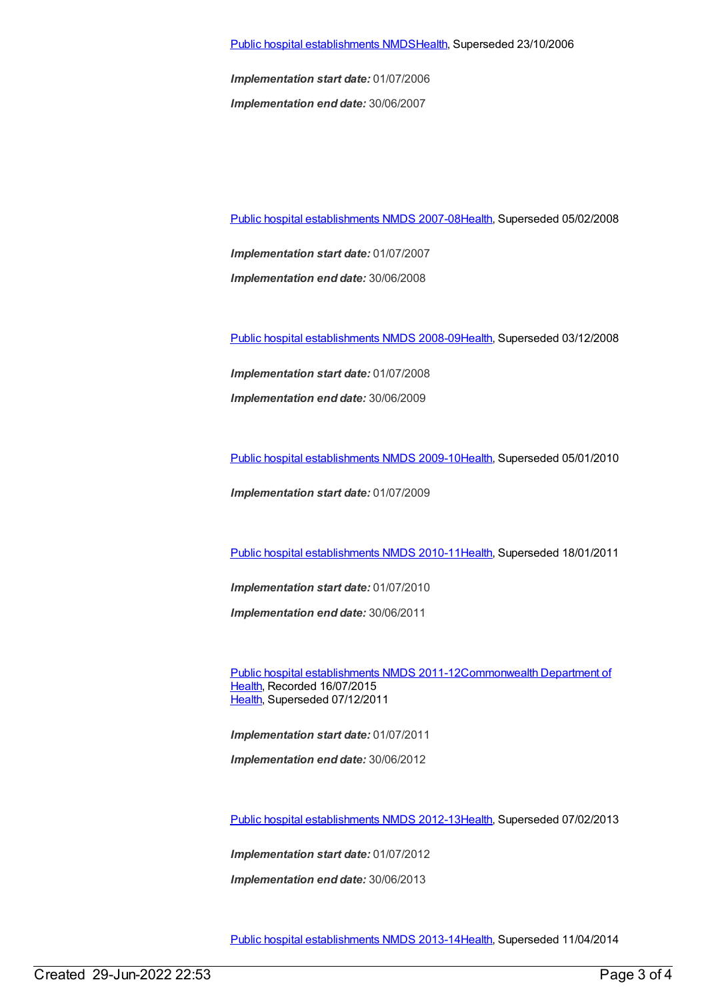*Implementation start date:* 01/07/2006 *Implementation end date:* 30/06/2007

Public hospital [establishments](https://meteor.aihw.gov.au/content/345139) NMDS 2007-08[Health](https://meteor.aihw.gov.au/RegistrationAuthority/12), Superseded 05/02/2008

*Implementation start date:* 01/07/2007 *Implementation end date:* 30/06/2008

Public hospital [establishments](https://meteor.aihw.gov.au/content/362302) NMDS 2008-09[Health](https://meteor.aihw.gov.au/RegistrationAuthority/12), Superseded 03/12/2008

*Implementation start date:* 01/07/2008

*Implementation end date:* 30/06/2009

Public hospital [establishments](https://meteor.aihw.gov.au/content/374924) NMDS 2009-10[Health](https://meteor.aihw.gov.au/RegistrationAuthority/12), Superseded 05/01/2010

*Implementation start date:* 01/07/2009

Public hospital [establishments](https://meteor.aihw.gov.au/content/386794) NMDS 2010-11[Health](https://meteor.aihw.gov.au/RegistrationAuthority/12), Superseded 18/01/2011

*Implementation start date:* 01/07/2010

*Implementation end date:* 30/06/2011

Public hospital [establishments](https://meteor.aihw.gov.au/content/426900) NMDS [2011-12Commonwealth](https://meteor.aihw.gov.au/RegistrationAuthority/10) Department of Health, Recorded 16/07/2015 [Health](https://meteor.aihw.gov.au/RegistrationAuthority/12), Superseded 07/12/2011

*Implementation start date:* 01/07/2011 *Implementation end date:* 30/06/2012

Public hospital [establishments](https://meteor.aihw.gov.au/content/470656) NMDS 2012-13[Health](https://meteor.aihw.gov.au/RegistrationAuthority/12), Superseded 07/02/2013

*Implementation start date:* 01/07/2012

*Implementation end date:* 30/06/2013

Public hospital [establishments](https://meteor.aihw.gov.au/content/504279) NMDS 2013-14[Health](https://meteor.aihw.gov.au/RegistrationAuthority/12), Superseded 11/04/2014